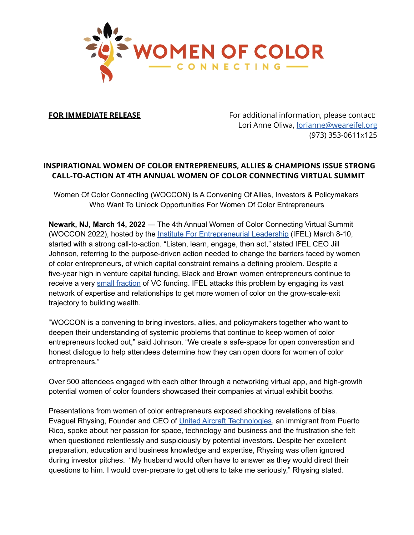

**FOR IMMEDIATE RELEASE** For additional information, please contact: Lori Anne Oliwa, [lorianne@weareifel.org](mailto:lorianne@weareifel.org) (973) 353-0611x125

## **INSPIRATIONAL WOMEN OF COLOR ENTREPRENEURS, ALLIES & CHAMPIONS ISSUE STRONG CALL-TO-ACTION AT 4TH ANNUAL WOMEN OF COLOR CONNECTING VIRTUAL SUMMIT**

Women Of Color Connecting (WOCCON) Is A Convening Of Allies, Investors & Policymakers Who Want To Unlock Opportunities For Women Of Color Entrepreneurs

**Newark, NJ, March 14, 2022** — The 4th Annual Women of Color Connecting Virtual Summit (WOCCON 2022), hosted by the *Institute For [Entrepreneurial](https://www.weareifel.org/) Leadership* (IFEL) March 8-10, started with a strong call-to-action. "Listen, learn, engage, then act," stated IFEL CEO Jill Johnson, referring to the purpose-driven action needed to change the barriers faced by women of color entrepreneurs, of which capital constraint remains a defining problem. Despite a five-year high in venture capital funding, Black and Brown women entrepreneurs continue to receive a very small [fraction](https://news.crunchbase.com/news/something-ventured-black-women-founders/) of VC funding. IFEL attacks this problem by engaging its vast network of expertise and relationships to get more women of color on the grow-scale-exit trajectory to building wealth.

"WOCCON is a convening to bring investors, allies, and policymakers together who want to deepen their understanding of systemic problems that continue to keep women of color entrepreneurs locked out," said Johnson. "We create a safe-space for open conversation and honest dialogue to help attendees determine how they can open doors for women of color entrepreneurs."

Over 500 attendees engaged with each other through a networking virtual app, and high-growth potential women of color founders showcased their companies at virtual exhibit booths.

Presentations from women of color entrepreneurs exposed shocking revelations of bias. Evaguel Rhysing, Founder and CEO of United Aircraft [Technologies,](https://uairtek.com/) an immigrant from Puerto Rico, spoke about her passion for space, technology and business and the frustration she felt when questioned relentlessly and suspiciously by potential investors. Despite her excellent preparation, education and business knowledge and expertise, Rhysing was often ignored during investor pitches. "My husband would often have to answer as they would direct their questions to him. I would over-prepare to get others to take me seriously," Rhysing stated.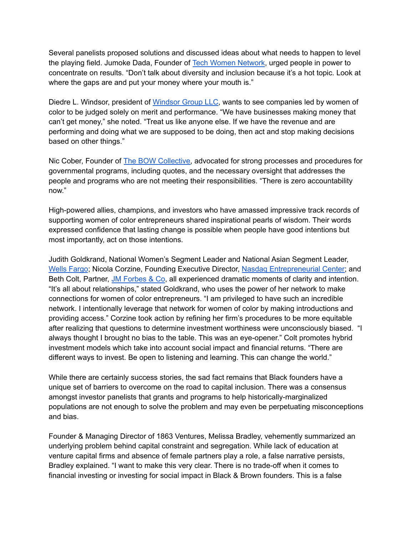Several panelists proposed solutions and discussed ideas about what needs to happen to level the playing field. Jumoke Dada, Founder of Tech Women [Network,](https://techwomennetwork.com/) urged people in power to concentrate on results. "Don't talk about diversity and inclusion because it's a hot topic. Look at where the gaps are and put your money where your mouth is."

Diedre L. Windsor, president of [Windsor](https://www.windsorgroup-llc.com/) Group LLC, wants to see companies led by women of color to be judged solely on merit and performance. "We have businesses making money that can't get money," she noted. "Treat us like anyone else. If we have the revenue and are performing and doing what we are supposed to be doing, then act and stop making decisions based on other things."

Nic Cober, Founder of The BOW [Collective,](https://www.thebowcollective.org/) advocated for strong processes and procedures for governmental programs, including quotes, and the necessary oversight that addresses the people and programs who are not meeting their responsibilities. "There is zero accountability now."

High-powered allies, champions, and investors who have amassed impressive track records of supporting women of color entrepreneurs shared inspirational pearls of wisdom. Their words expressed confidence that lasting change is possible when people have good intentions but most importantly, act on those intentions.

Judith Goldkrand, National Women's Segment Leader and National Asian Segment Leader, Wells [Fargo](https://www.wellsfargo.com/); Nicola Corzine, Founding Executive Director, Nasdaq [Entrepreneurial](https://thecenter.nasdaq.org/) Center; and Beth Colt, Partner, JM [Forbes](https://www.jmforbes.com/) & Co, all experienced dramatic moments of clarity and intention. "It's all about relationships," stated Goldkrand, who uses the power of her network to make connections for women of color entrepreneurs. "I am privileged to have such an incredible network. I intentionally leverage that network for women of color by making introductions and providing access." Corzine took action by refining her firm's procedures to be more equitable after realizing that questions to determine investment worthiness were unconsciously biased. "I always thought I brought no bias to the table. This was an eye-opener." Colt promotes hybrid investment models which take into account social impact and financial returns. "There are different ways to invest. Be open to listening and learning. This can change the world."

While there are certainly success stories, the sad fact remains that Black founders have a unique set of barriers to overcome on the road to capital inclusion. There was a consensus amongst investor panelists that grants and programs to help historically-marginalized populations are not enough to solve the problem and may even be perpetuating misconceptions and bias.

Founder & Managing Director of 1863 Ventures, Melissa Bradley, vehemently summarized an underlying problem behind capital constraint and segregation. While lack of education at venture capital firms and absence of female partners play a role, a false narrative persists, Bradley explained. "I want to make this very clear. There is no trade-off when it comes to financial investing or investing for social impact in Black & Brown founders. This is a false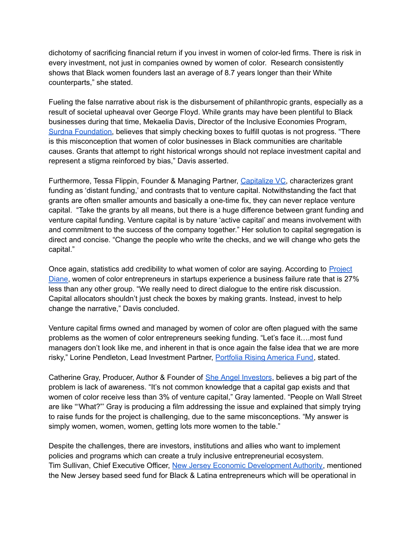dichotomy of sacrificing financial return if you invest in women of color-led firms. There is risk in every investment, not just in companies owned by women of color. Research consistently shows that Black women founders last an average of 8.7 years longer than their White counterparts," she stated.

Fueling the false narrative about risk is the disbursement of philanthropic grants, especially as a result of societal upheaval over George Floyd. While grants may have been plentiful to Black businesses during that time, Mekaelia Davis, Director of the Inclusive Economies Program, Surdna [Foundation,](https://surdna.org/) believes that simply checking boxes to fulfill quotas is not progress. "There is this misconception that women of color businesses in Black communities are charitable causes. Grants that attempt to right historical wrongs should not replace investment capital and represent a stigma reinforced by bias," Davis asserted.

Furthermore, Tessa Flippin, Founder & Managing Partner, [Capitalize](https://www.capitalizevc.com/) VC, characterizes grant funding as 'distant funding,' and contrasts that to venture capital. Notwithstanding the fact that grants are often smaller amounts and basically a one-time fix, they can never replace venture capital. "Take the grants by all means, but there is a huge difference between grant funding and venture capital funding. Venture capital is by nature 'active capital' and means involvement with and commitment to the success of the company together." Her solution to capital segregation is direct and concise. "Change the people who write the checks, and we will change who gets the capital."

Once again, statistics add credibility to what women of color are saying. According to [Project](https://www.projectdiane.com/) [Diane,](https://www.projectdiane.com/) women of color entrepreneurs in startups experience a business failure rate that is 27% less than any other group. "We really need to direct dialogue to the entire risk discussion. Capital allocators shouldn't just check the boxes by making grants. Instead, invest to help change the narrative," Davis concluded.

Venture capital firms owned and managed by women of color are often plagued with the same problems as the women of color entrepreneurs seeking funding. "Let's face it….most fund managers don't look like me, and inherent in that is once again the false idea that we are more risky," Lorine Pendleton, Lead Investment Partner, Portfolia Rising [America](https://www.portfolia.co/risingamerica-fund) Fund, stated.

Catherine Gray, Producer, Author & Founder of She Angel [Investors](https://www.sheangelinvestors.com/), believes a big part of the problem is lack of awareness. "It's not common knowledge that a capital gap exists and that women of color receive less than 3% of venture capital," Gray lamented. "People on Wall Street are like "'What?"' Gray is producing a film addressing the issue and explained that simply trying to raise funds for the project is challenging, due to the same misconceptions. "My answer is simply women, women, women, getting lots more women to the table."

Despite the challenges, there are investors, institutions and allies who want to implement policies and programs which can create a truly inclusive entrepreneurial ecosystem. Tim Sullivan, Chief Executive Officer, New Jersey Economic [Development](https://www.njeda.com/) Authority, mentioned the New Jersey based seed fund for Black & Latina entrepreneurs which will be operational in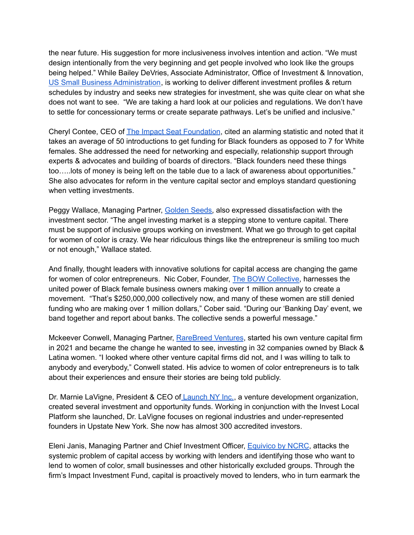the near future. His suggestion for more inclusiveness involves intention and action. "We must design intentionally from the very beginning and get people involved who look like the groups being helped." While Bailey DeVries, Associate Administrator, Office of Investment & Innovation, US Small Business [Administration](https://www.sba.gov/), is working to deliver different investment profiles & return schedules by industry and seeks new strategies for investment, she was quite clear on what she does not want to see. "We are taking a hard look at our policies and regulations. We don't have to settle for concessionary terms or create separate pathways. Let's be unified and inclusive."

Cheryl Contee, CEO of The Impact Seat [Foundation](https://impactseat.com/), cited an alarming statistic and noted that it takes an average of 50 introductions to get funding for Black founders as opposed to 7 for White females. She addressed the need for networking and especially, relationship support through experts & advocates and building of boards of directors. "Black founders need these things too…..lots of money is being left on the table due to a lack of awareness about opportunities." She also advocates for reform in the venture capital sector and employs standard questioning when vetting investments.

Peggy Wallace, Managing Partner, [Golden](https://goldenseeds.com/) Seeds, also expressed dissatisfaction with the investment sector. "The angel investing market is a stepping stone to venture capital. There must be support of inclusive groups working on investment. What we go through to get capital for women of color is crazy. We hear ridiculous things like the entrepreneur is smiling too much or not enough," Wallace stated.

And finally, thought leaders with innovative solutions for capital access are changing the game for women of color entrepreneurs. Nic Cober, Founder, The BOW [Collective,](https://www.thebowcollective.org/) harnesses the united power of Black female business owners making over 1 million annually to create a movement. "That's \$250,000,000 collectively now, and many of these women are still denied funding who are making over 1 million dollars," Cober said. "During our 'Banking Day' event, we band together and report about banks. The collective sends a powerful message."

Mckeever Conwell, Managing Partner, [RareBreed](https://www.rarebreed.vc/) Ventures, started his own venture capital firm in 2021 and became the change he wanted to see, investing in 32 companies owned by Black & Latina women. "I looked where other venture capital firms did not, and I was willing to talk to anybody and everybody," Conwell stated. His advice to women of color entrepreneurs is to talk about their experiences and ensure their stories are being told publicly.

Dr. Marnie LaVigne, President & CEO of [Launch](https://launchny.org/) NY Inc., a venture development organization, created several investment and opportunity funds. Working in conjunction with the Invest Local Platform she launched, Dr. LaVigne focuses on regional industries and under-represented founders in Upstate New York. She now has almost 300 accredited investors.

Eleni Janis, Managing Partner and Chief Investment Officer, [Equivico](https://www.equivico.com/) by NCRC, attacks the systemic problem of capital access by working with lenders and identifying those who want to lend to women of color, small businesses and other historically excluded groups. Through the firm's Impact Investment Fund, capital is proactively moved to lenders, who in turn earmark the